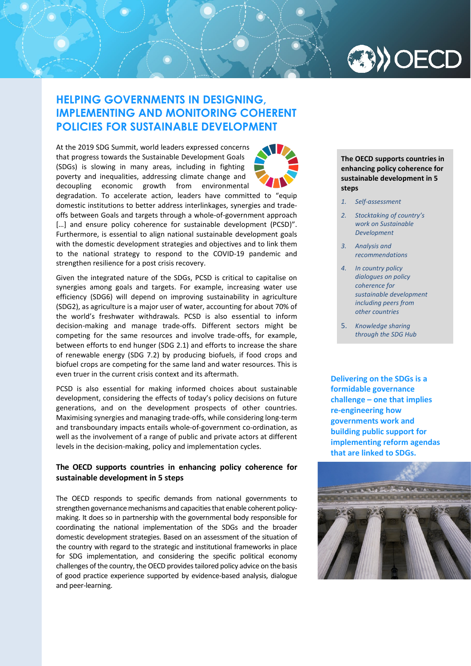

# **HELPING GOVERNMENTS IN DESIGNING, IMPLEMENTING AND MONITORING COHERENT POLICIES FOR SUSTAINABLE DEVELOPMENT**

At the 2019 SDG Summit, world leaders expressed concerns that progress towards the Sustainable Development Goals (SDGs) is slowing in many areas, including in fighting poverty and inequalities, addressing climate change and decoupling economic growth from environmental



Given the integrated nature of the SDGs, PCSD is critical to capitalise on synergies among goals and targets. For example, increasing water use efficiency (SDG6) will depend on improving sustainability in agriculture (SDG2), as agriculture is a major user of water, accounting for about 70% of the world's freshwater withdrawals. PCSD is also essential to inform decision-making and manage trade-offs. Different sectors might be competing for the same resources and involve trade-offs, for example, between efforts to end hunger (SDG 2.1) and efforts to increase the share of renewable energy (SDG 7.2) by producing biofuels, if food crops and biofuel crops are competing for the same land and water resources. This is even truer in the current crisis context and its aftermath.

PCSD is also essential for making informed choices about sustainable development, considering the effects of today's policy decisions on future generations, and on the development prospects of other countries. Maximising synergies and managing trade-offs, while considering long-term and transboundary impacts entails whole-of-government co-ordination, as well as the involvement of a range of public and private actors at different levels in the decision-making, policy and implementation cycles.

# **The OECD supports countries in enhancing policy coherence for sustainable development in 5 steps**

The OECD responds to specific demands from national governments to strengthen governance mechanisms and capacities that enable coherent policymaking. It does so in partnership with the governmental body responsible for coordinating the national implementation of the SDGs and the broader domestic development strategies. Based on an assessment of the situation of the country with regard to the strategic and institutional frameworks in place for SDG implementation, and considering the specific political economy challenges of the country, the OECD provides tailored policy advice on the basis of good practice experience supported by evidence-based analysis, dialogue and peer-learning.

**The OECD supports countries in enhancing policy coherence for sustainable development in 5 steps**

- *1. Self-assessment*
- *2. Stocktaking of country's work on Sustainable Development*
- *3. Analysis and recommendations*
- *4. In country policy dialogues on policy coherence for sustainable development including peers from other countries*
- 5. *Knowledge sharing through the SDG Hub*

**Delivering on the SDGs is a formidable governance challenge – one that implies re-engineering how governments work and building public support for implementing reform agendas that are linked to SDGs.** 

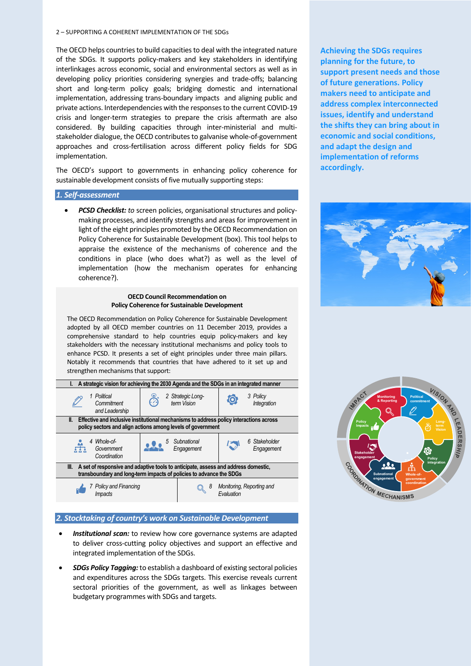#### 2 – SUPPORTING A COHERENT IMPLEMENTATION OF THE SDGs

The OECD helps countries to build capacities to deal with the integrated nature of the SDGs. It supports policy-makers and key stakeholders in identifying interlinkages across economic, social and environmental sectors as well as in developing policy priorities considering synergies and trade-offs; balancing short and long-term policy goals; bridging domestic and international implementation, addressing trans-boundary impacts and aligning public and private actions. Interdependencies with the responses to the current COVID-19 crisis and longer-term strategies to prepare the crisis aftermath are also considered. By building capacities through inter-ministerial and multistakeholder dialogue, the OECD contributes to galvanise whole-of-government approaches and cross-fertilisation across different policy fields for SDG implementation.

The OECD's support to governments in enhancing policy coherence for sustainable development consists of five mutually supporting steps:

#### *1. Self-assessment*

• *PCSD Checklist: to* screen policies, organisational structures and policymaking processes, and identify strengths and areas for improvement in light of the eight principles promoted by the OECD Recommendation on Policy Coherence for Sustainable Development (box). This tool helps to appraise the existence of the mechanisms of coherence and the conditions in place (who does what?) as well as the level of implementation (how the mechanism operates for enhancing coherence?).

#### **OECD Council Recommendation on Policy Coherence for Sustainable Development**

The OECD Recommendation on Policy Coherence for Sustainable Development adopted by all OECD member countries on 11 December 2019, provides a comprehensive standard to help countries equip policy-makers and key stakeholders with the necessary institutional mechanisms and policy tools to enhance PCSD. It presents a set of eight principles under three main pillars. Notably it recommends that countries that have adhered to it set up and strengthen mechanisms that support:

| A strategic vision for achieving the 2030 Agenda and the SDGs in an integrated manner                                                                             |  |                                  |                                                |                             |
|-------------------------------------------------------------------------------------------------------------------------------------------------------------------|--|----------------------------------|------------------------------------------------|-----------------------------|
| 1 Political<br>Commitment<br>and Leadership                                                                                                                       |  | 2 Strategic Long-<br>term Vision |                                                | 3 Policy<br>Integration     |
| Effective and inclusive institutional mechanisms to address policy interactions across<br>II.<br>policy sectors and align actions among levels of government      |  |                                  |                                                |                             |
|                                                                                                                                                                   |  |                                  |                                                |                             |
| 4 Whole-of-<br>Govemment<br>Coordination                                                                                                                          |  | Subnational<br>Engagement        |                                                | 6 Stakeholder<br>Engagement |
| A set of responsive and adaptive tools to anticipate, assess and address domestic,<br>III.<br>transboundary and long-term impacts of policies to advance the SDGs |  |                                  |                                                |                             |
| Policy and Financing<br>Impacts                                                                                                                                   |  |                                  | Monitoring, Reporting and<br><b>Fvaluation</b> |                             |

#### *2. Stocktaking of country's work on Sustainable Development*

- *Institutional scan:* to review how core governance systems are adapted to deliver cross-cutting policy objectives and support an effective and integrated implementation of the SDGs.
- *SDGs Policy Tagging:* to establish a dashboard of existing sectoral policies and expenditures across the SDGs targets. This exercise reveals current sectoral priorities of the government, as well as linkages between budgetary programmes with SDGs and targets.

**Achieving the SDGs requires planning for the future, to support present needs and those of future generations. Policy makers need to anticipate and address complex interconnected issues, identify and understand the shifts they can bring about in economic and social conditions, and adapt the design and implementation of reforms accordingly.** 



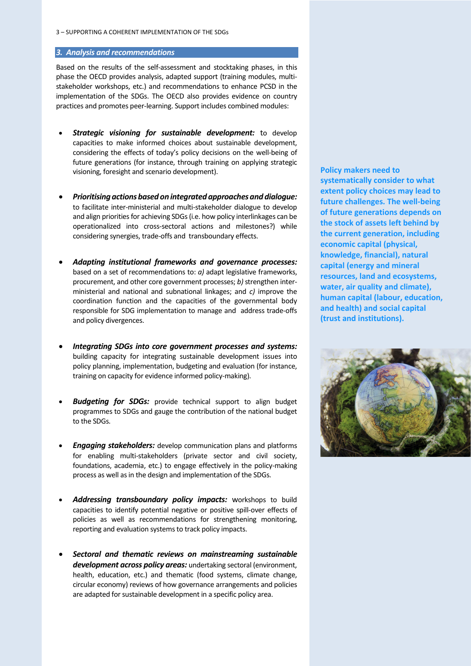# *3. Analysis and recommendations*

Based on the results of the self-assessment and stocktaking phases, in this phase the OECD provides analysis, adapted support (training modules, multistakeholder workshops, etc.) and recommendations to enhance PCSD in the implementation of the SDGs. The OECD also provides evidence on country practices and promotes peer-learning. Support includes combined modules:

- *Strategic visioning for sustainable development:* to develop capacities to make informed choices about sustainable development, considering the effects of today's policy decisions on the well-being of future generations (for instance, through training on applying strategic visioning, foresight and scenario development).
- *Prioritising actions based on integrated approachesand dialogue:* to facilitate inter-ministerial and multi-stakeholder dialogue to develop and align priorities for achieving SDGs (i.e. how policy interlinkages can be operationalized into cross-sectoral actions and milestones?) while considering synergies, trade-offs and transboundary effects.
- *Adapting institutional frameworks and governance processes:* based on a set of recommendations to: *a)* adapt legislative frameworks, procurement, and other core government processes; *b*) strengthen interministerial and national and subnational linkages; and *c)* improve the coordination function and the capacities of the governmental body responsible for SDG implementation to manage and address trade-offs and policy divergences.
- *Integrating SDGs into core government processes and systems:* building capacity for integrating sustainable development issues into policy planning, implementation, budgeting and evaluation (for instance, training on capacity for evidence informed policy-making).
- **Budgeting for SDGs:** provide technical support to align budget programmes to SDGs and gauge the contribution of the national budget to the SDGs.
- *Engaging stakeholders:* develop communication plans and platforms for enabling multi-stakeholders (private sector and civil society, foundations, academia, etc.) to engage effectively in the policy-making process as well as in the design and implementation of the SDGs.
- *Addressing transboundary policy impacts:* workshops to build capacities to identify potential negative or positive spill-over effects of policies as well as recommendations for strengthening monitoring, reporting and evaluation systems to track policy impacts.
- *Sectoral and thematic reviews on mainstreaming sustainable development across policy areas:* undertaking sectoral (environment, health, education, etc.) and thematic (food systems, climate change, circular economy) reviews of how governance arrangements and policies are adapted for sustainable development in a specific policy area.

**Policy makers need to systematically consider to what extent policy choices may lead to future challenges. The well-being of future generations depends on the stock of assets left behind by the current generation, including economic capital (physical, knowledge, financial), natural capital (energy and mineral resources, land and ecosystems, water, air quality and climate), human capital (labour, education, and health) and social capital (trust and institutions).**